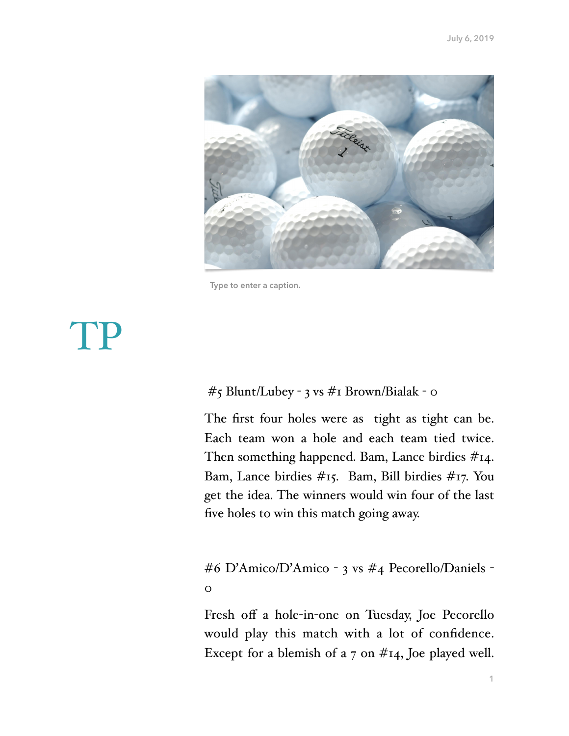

**Type to enter a caption.**

## TP

#### #5 Blunt/Lubey - 3 vs #1 Brown/Bialak - 0

The first four holes were as tight as tight can be. Each team won a hole and each team tied twice. Then something happened. Bam, Lance birdies #14. Bam, Lance birdies #15. Bam, Bill birdies #17. You get the idea. The winners would win four of the last five holes to win this match going away.

### #6 D'Amico/D'Amico - 3 vs #4 Pecorello/Daniels -  $\overline{O}$

Fresh off a hole-in-one on Tuesday, Joe Pecorello would play this match with a lot of confidence. Except for a blemish of a 7 on  $#14$ , Joe played well.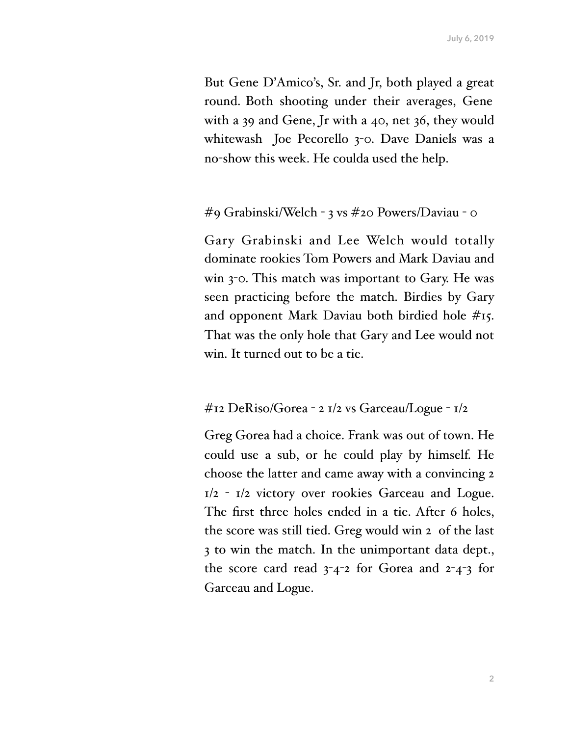But Gene D'Amico's, Sr. and Jr, both played a great round. Both shooting under their averages, Gene with a 39 and Gene, Jr with a 40, net 36, they would whitewash Joe Pecorello 3-0. Dave Daniels was a no-show this week. He coulda used the help.

#### #9 Grabinski/Welch - 3 vs #20 Powers/Daviau - 0

Gary Grabinski and Lee Welch would totally dominate rookies Tom Powers and Mark Daviau and win 3-0. This match was important to Gary. He was seen practicing before the match. Birdies by Gary and opponent Mark Daviau both birdied hole #15. That was the only hole that Gary and Lee would not win. It turned out to be a tie.

#### #12 DeRiso/Gorea - 2 1/2 vs Garceau/Logue - 1/2

Greg Gorea had a choice. Frank was out of town. He could use a sub, or he could play by himself. He choose the latter and came away with a convincing 2 1/2 - 1/2 victory over rookies Garceau and Logue. The first three holes ended in a tie. After 6 holes, the score was still tied. Greg would win 2 of the last 3 to win the match. In the unimportant data dept., the score card read 3-4-2 for Gorea and 2-4-3 for Garceau and Logue.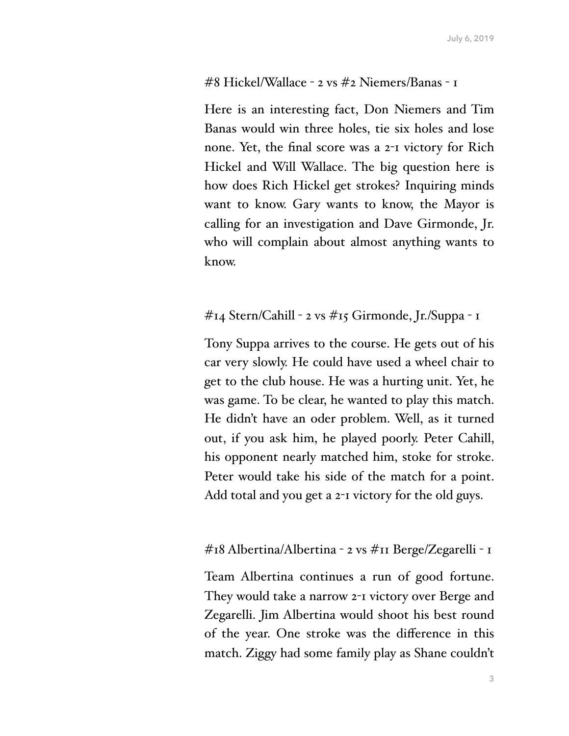#### #8 Hickel/Wallace - 2 vs #2 Niemers/Banas - 1

Here is an interesting fact, Don Niemers and Tim Banas would win three holes, tie six holes and lose none. Yet, the final score was a 2-1 victory for Rich Hickel and Will Wallace. The big question here is how does Rich Hickel get strokes? Inquiring minds want to know. Gary wants to know, the Mayor is calling for an investigation and Dave Girmonde, Jr. who will complain about almost anything wants to know.

#### #14 Stern/Cahill - 2 vs #15 Girmonde, Jr./Suppa - 1

Tony Suppa arrives to the course. He gets out of his car very slowly. He could have used a wheel chair to get to the club house. He was a hurting unit. Yet, he was game. To be clear, he wanted to play this match. He didn't have an oder problem. Well, as it turned out, if you ask him, he played poorly. Peter Cahill, his opponent nearly matched him, stoke for stroke. Peter would take his side of the match for a point. Add total and you get a 2-1 victory for the old guys.

#### #18 Albertina/Albertina - 2 vs #11 Berge/Zegarelli - 1

Team Albertina continues a run of good fortune. They would take a narrow 2-1 victory over Berge and Zegarelli. Jim Albertina would shoot his best round of the year. One stroke was the difference in this match. Ziggy had some family play as Shane couldn't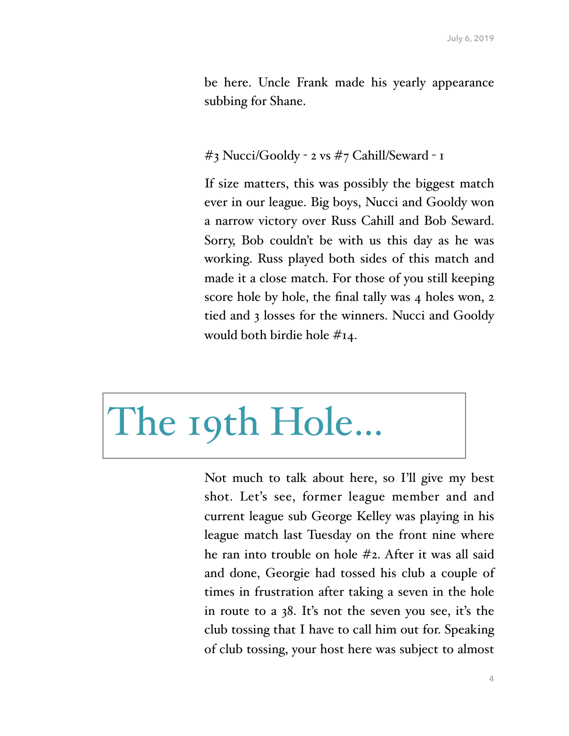be here. Uncle Frank made his yearly appearance subbing for Shane.

#### #3 Nucci/Gooldy - 2 vs #7 Cahill/Seward - 1

If size matters, this was possibly the biggest match ever in our league. Big boys, Nucci and Gooldy won a narrow victory over Russ Cahill and Bob Seward. Sorry, Bob couldn't be with us this day as he was working. Russ played both sides of this match and made it a close match. For those of you still keeping score hole by hole, the final tally was 4 holes won, 2 tied and 3 losses for the winners. Nucci and Gooldy would both birdie hole #14.

# The 19th Hole…

Not much to talk about here, so I'll give my best shot. Let's see, former league member and and current league sub George Kelley was playing in his league match last Tuesday on the front nine where he ran into trouble on hole #2. After it was all said and done, Georgie had tossed his club a couple of times in frustration after taking a seven in the hole in route to a 38. It's not the seven you see, it's the club tossing that I have to call him out for. Speaking of club tossing, your host here was subject to almost